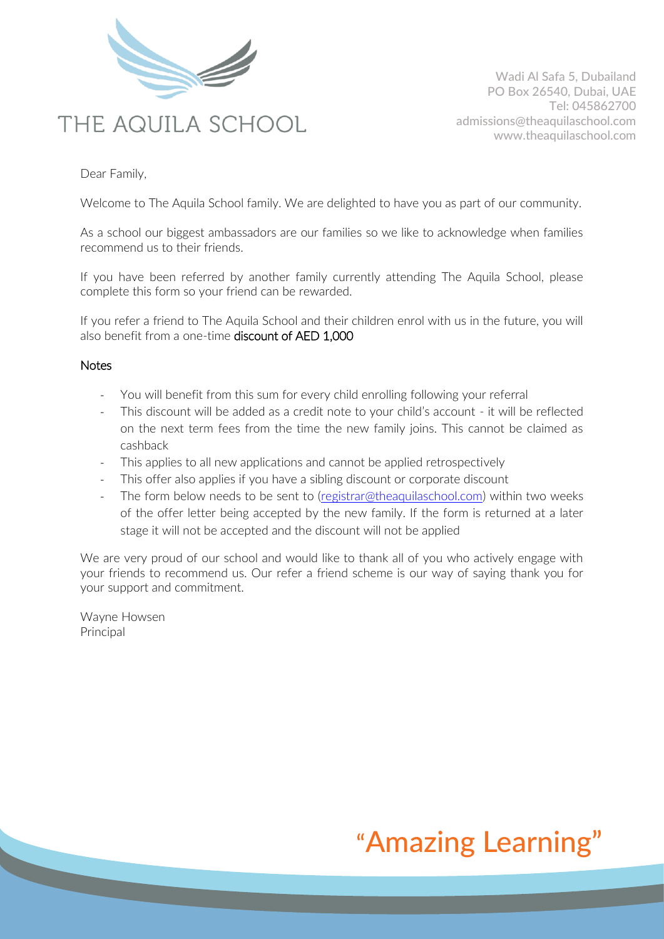

Wadi Al Safa 5, Dubailand PO Box 26540, Dubai, UAE Tel: 045862700 admissions@theaquilaschool.com www.theaquilaschool.com

Dear Family,

Welcome to The Aquila School family. We are delighted to have you as part of our community.

As a school our biggest ambassadors are our families so we like to acknowledge when families recommend us to their friends.

If you have been referred by another family currently attending The Aquila School, please complete this form so your friend can be rewarded.

If you refer a friend to The Aquila School and their children enrol with us in the future, you will also benefit from a one-time discount of AED 1,000

## **Notes**

- You will benefit from this sum for every child enrolling following your referral
- This discount will be added as a credit note to your child's account it will be reflected on the next term fees from the time the new family joins. This cannot be claimed as cashback
- This applies to all new applications and cannot be applied retrospectively
- This offer also applies if you have a sibling discount or corporate discount
- The form below needs to be sent to [\(registrar@theaquilaschool.com\)](mailto:registrar@theaquilaschool.com) within two weeks of the offer letter being accepted by the new family. If the form is returned at a later stage it will not be accepted and the discount will not be applied

We are very proud of our school and would like to thank all of you who actively engage with your friends to recommend us. Our refer a friend scheme is our way of saying thank you for your support and commitment.

Wayne Howsen Principal

## "Amazing Learning"